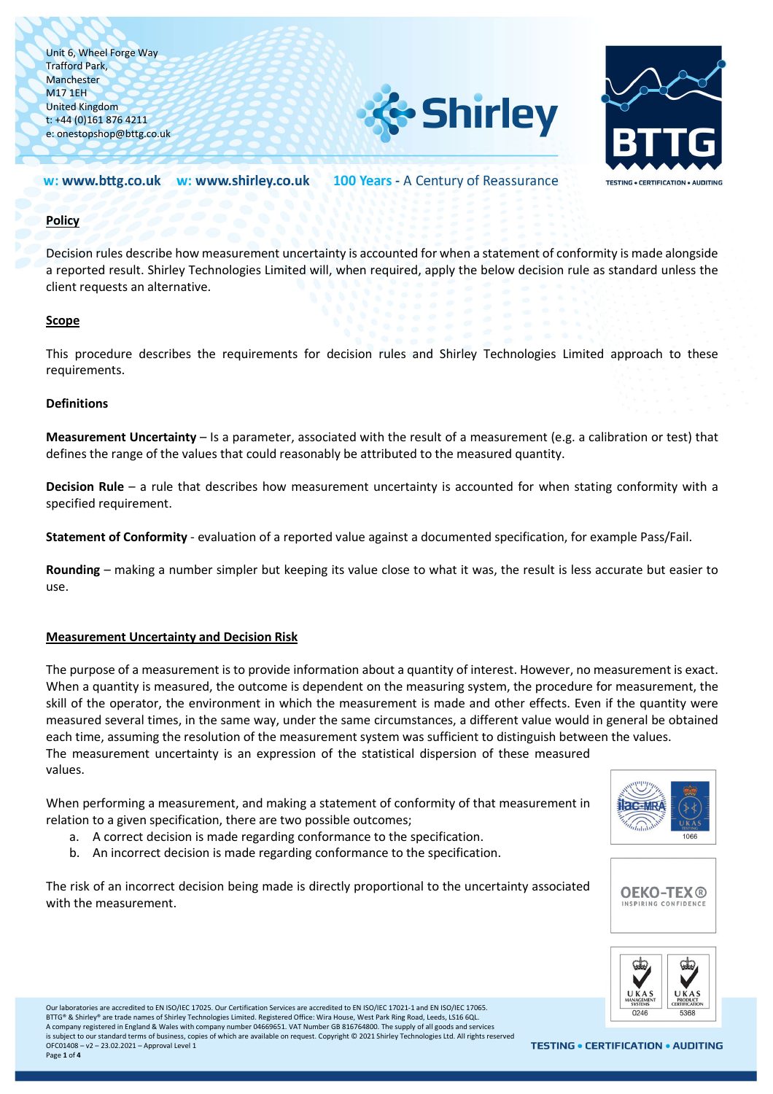



#### 100 Years - A Century of Reassurance w: www.bttg.co.uk w: www.shirley.co.uk

## **Policy**

Decision rules describe how measurement uncertainty is accounted for when a statement of conformity is made alongside a reported result. Shirley Technologies Limited will, when required, apply the below decision rule as standard unless the client requests an alternative.

### **Scope**

This procedure describes the requirements for decision rules and Shirley Technologies Limited approach to these requirements.

## **Definitions**

**Measurement Uncertainty** – Is a parameter, associated with the result of a measurement (e.g. a calibration or test) that defines the range of the values that could reasonably be attributed to the measured quantity.

**Decision Rule** – a rule that describes how measurement uncertainty is accounted for when stating conformity with a specified requirement.

**Statement of Conformity** - evaluation of a reported value against a documented specification, for example Pass/Fail.

**Rounding** – making a number simpler but keeping its value close to what it was, the result is less accurate but easier to use.

### **Measurement Uncertainty and Decision Risk**

The purpose of a measurement is to provide information about a quantity of interest. However, no measurement is exact. When a quantity is measured, the outcome is dependent on the measuring system, the procedure for measurement, the skill of the operator, the environment in which the measurement is made and other effects. Even if the quantity were measured several times, in the same way, under the same circumstances, a different value would in general be obtained each time, assuming the resolution of the measurement system was sufficient to distinguish between the values. The measurement uncertainty is an expression of the statistical dispersion of these measured values.

When performing a measurement, and making a statement of conformity of that measurement in relation to a given specification, there are two possible outcomes;

- a. A correct decision is made regarding conformance to the specification.
- b. An incorrect decision is made regarding conformance to the specification.

The risk of an incorrect decision being made is directly proportional to the uncertainty associated with the measurement.







Our laboratories are accredited to EN ISO/IEC 17025. Our Certification Services are accredited to EN ISO/IEC 17021-1 and EN ISO/IEC 17065. BTTG® & Shirley® are trade names of Shirley Technologies Limited. Registered Office: Wira House, West Park Ring Road, Leeds, LS16 6QL. A company registered in England & Wales with company number 04669651. VAT Number GB 816764800. The supply of all goods and services is subject to our standard terms of business, copies of which are available on request. Copyright © 2021 Shirley Technologies Ltd. All rights reserved OFC01408 – v2 – 23.02.2021 – Approval Level 1 Page **1** of **4**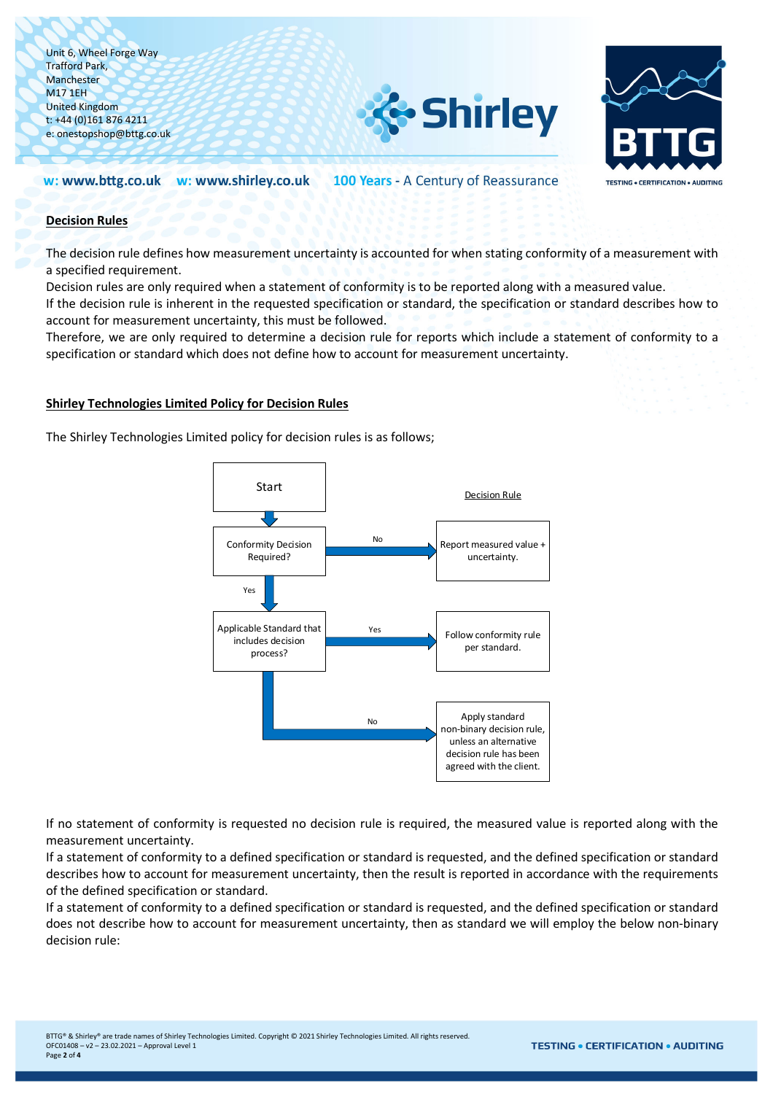



100 Years - A Century of Reassurance w: www.bttg.co.uk w: www.shirley.co.uk

# **Decision Rules**

The decision rule defines how measurement uncertainty is accounted for when stating conformity of a measurement with a specified requirement.

Decision rules are only required when a statement of conformity is to be reported along with a measured value.

If the decision rule is inherent in the requested specification or standard, the specification or standard describes how to account for measurement uncertainty, this must be followed.

Therefore, we are only required to determine a decision rule for reports which include a statement of conformity to a specification or standard which does not define how to account for measurement uncertainty.

## **Shirley Technologies Limited Policy for Decision Rules**

The Shirley Technologies Limited policy for decision rules is as follows;



If no statement of conformity is requested no decision rule is required, the measured value is reported along with the measurement uncertainty.

If a statement of conformity to a defined specification or standard is requested, and the defined specification or standard describes how to account for measurement uncertainty, then the result is reported in accordance with the requirements of the defined specification or standard.

If a statement of conformity to a defined specification or standard is requested, and the defined specification or standard does not describe how to account for measurement uncertainty, then as standard we will employ the below non-binary decision rule: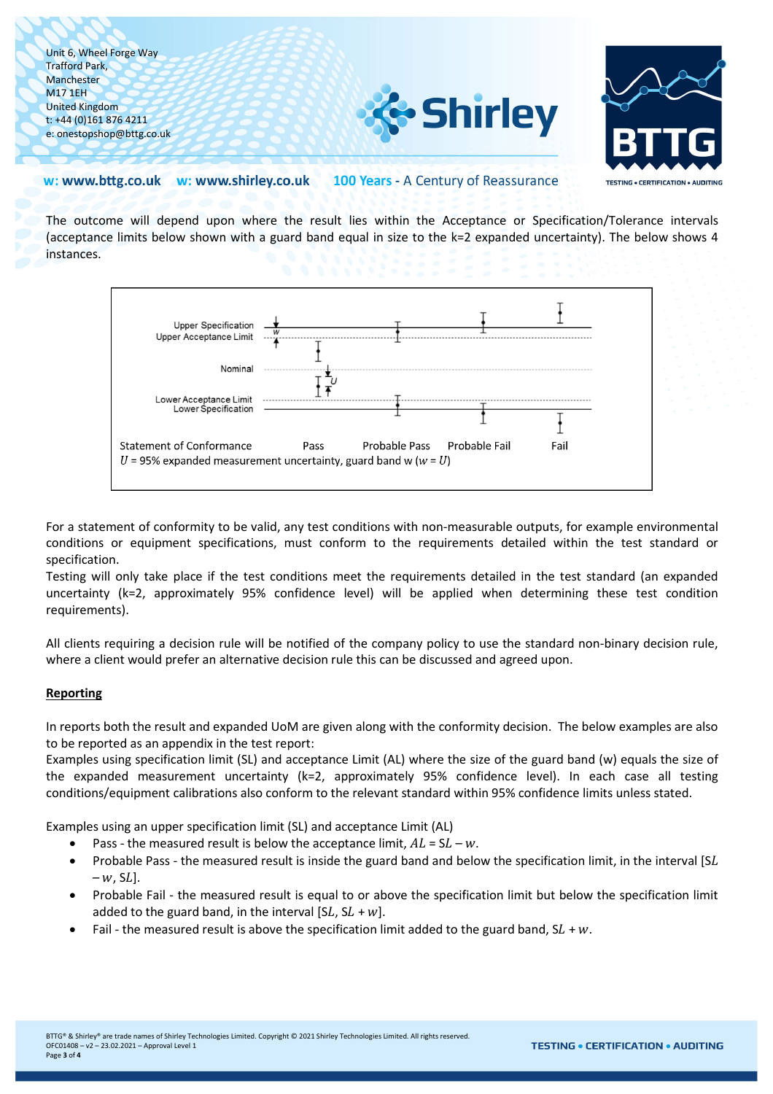



#### w: www.bttg.co.uk w: www.shirley.co.uk 100 Years - A Century of Reassurance

The outcome will depend upon where the result lies within the Acceptance or Specification/Tolerance intervals (acceptance limits below shown with a guard band equal in size to the k=2 expanded uncertainty). The below shows 4 instances.



For a statement of conformity to be valid, any test conditions with non-measurable outputs, for example environmental conditions or equipment specifications, must conform to the requirements detailed within the test standard or specification.

Testing will only take place if the test conditions meet the requirements detailed in the test standard (an expanded uncertainty (k=2, approximately 95% confidence level) will be applied when determining these test condition requirements).

All clients requiring a decision rule will be notified of the company policy to use the standard non-binary decision rule, where a client would prefer an alternative decision rule this can be discussed and agreed upon.

# **Reporting**

In reports both the result and expanded UoM are given along with the conformity decision. The below examples are also to be reported as an appendix in the test report:

Examples using specification limit (SL) and acceptance Limit (AL) where the size of the guard band (w) equals the size of the expanded measurement uncertainty (k=2, approximately 95% confidence level). In each case all testing conditions/equipment calibrations also conform to the relevant standard within 95% confidence limits unless stated.

Examples using an upper specification limit (SL) and acceptance Limit (AL)

- Pass the measured result is below the acceptance limit,  $AL = SL w$ .
- Probable Pass the measured result is inside the guard band and below the specification limit, in the interval [SL  $-w$ , SL].
- Probable Fail the measured result is equal to or above the specification limit but below the specification limit added to the guard band, in the interval [SL,  $SL + w$ ].
- Fail the measured result is above the specification limit added to the guard band,  $SL + w$ .